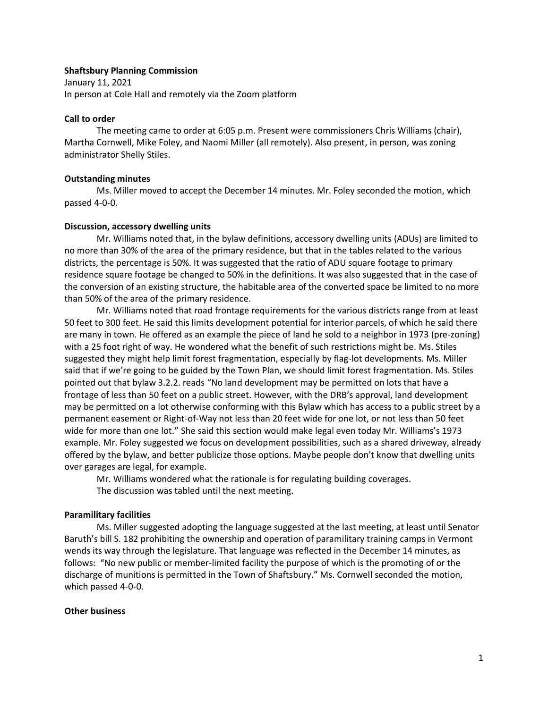# **Shaftsbury Planning Commission**

January 11, 2021 In person at Cole Hall and remotely via the Zoom platform

### **Call to order**

The meeting came to order at 6:05 p.m. Present were commissioners Chris Williams (chair), Martha Cornwell, Mike Foley, and Naomi Miller (all remotely). Also present, in person, was zoning administrator Shelly Stiles.

## **Outstanding minutes**

Ms. Miller moved to accept the December 14 minutes. Mr. Foley seconded the motion, which passed 4-0-0.

# **Discussion, accessory dwelling units**

Mr. Williams noted that, in the bylaw definitions, accessory dwelling units (ADUs) are limited to no more than 30% of the area of the primary residence, but that in the tables related to the various districts, the percentage is 50%. It was suggested that the ratio of ADU square footage to primary residence square footage be changed to 50% in the definitions. It was also suggested that in the case of the conversion of an existing structure, the habitable area of the converted space be limited to no more than 50% of the area of the primary residence.

Mr. Williams noted that road frontage requirements for the various districts range from at least 50 feet to 300 feet. He said this limits development potential for interior parcels, of which he said there are many in town. He offered as an example the piece of land he sold to a neighbor in 1973 (pre-zoning) with a 25 foot right of way. He wondered what the benefit of such restrictions might be. Ms. Stiles suggested they might help limit forest fragmentation, especially by flag-lot developments. Ms. Miller said that if we're going to be guided by the Town Plan, we should limit forest fragmentation. Ms. Stiles pointed out that bylaw 3.2.2. reads "No land development may be permitted on lots that have a frontage of less than 50 feet on a public street. However, with the DRB's approval, land development may be permitted on a lot otherwise conforming with this Bylaw which has access to a public street by a permanent easement or Right-of-Way not less than 20 feet wide for one lot, or not less than 50 feet wide for more than one lot." She said this section would make legal even today Mr. Williams's 1973 example. Mr. Foley suggested we focus on development possibilities, such as a shared driveway, already offered by the bylaw, and better publicize those options. Maybe people don't know that dwelling units over garages are legal, for example.

Mr. Williams wondered what the rationale is for regulating building coverages. The discussion was tabled until the next meeting.

## **Paramilitary facilities**

Ms. Miller suggested adopting the language suggested at the last meeting, at least until Senator Baruth's bill S. 182 prohibiting the ownership and operation of paramilitary training camps in Vermont wends its way through the legislature. That language was reflected in the December 14 minutes, as follows: "No new public or member-limited facility the purpose of which is the promoting of or the discharge of munitions is permitted in the Town of Shaftsbury." Ms. Cornwell seconded the motion, which passed 4-0-0.

### **Other business**